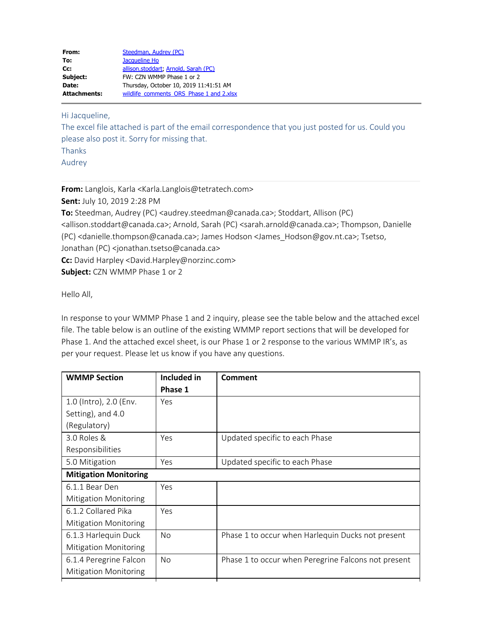| From:               | Steedman, Audrey (PC)                    |
|---------------------|------------------------------------------|
| To:                 | Jacqueline Ho                            |
| Cc:                 | allison.stoddart, Arnold, Sarah (PC)     |
| Subject:            | FW: CZN WMMP Phase 1 or 2                |
| Date:               | Thursday, October 10, 2019 11:41:51 AM   |
| <b>Attachments:</b> | wildlife comments ORS Phase 1 and 2.xlsx |

Hi Jacqueline,

The excel file attached is part of the email correspondence that you just posted for us. Could you please also post it. Sorry for missing that.

Thanks

Audrey

**From:** Langlois, Karla <Karla.Langlois@tetratech.com>

**Sent:** July 10, 2019 2:28 PM

**To:** Steedman, Audrey (PC) <audrey.steedman@canada.ca>; Stoddart, Allison (PC) <allison.stoddart@canada.ca>; Arnold, Sarah (PC) <sarah.arnold@canada.ca>; Thompson, Danielle (PC) <danielle.thompson@canada.ca>; James Hodson <James\_Hodson@gov.nt.ca>; Tsetso, Jonathan (PC) <jonathan.tsetso@canada.ca> **Cc:** David Harpley <David.Harpley@norzinc.com>

**Subject:** CZN WMMP Phase 1 or 2

Hello All,

In response to your WMMP Phase 1 and 2 inquiry, please see the table below and the attached excel file. The table below is an outline of the existing WMMP report sections that will be developed for Phase 1. And the attached excel sheet, is our Phase 1 or 2 response to the various WMMP IR's, as per your request. Please let us know if you have any questions.

| <b>WMMP Section</b>          | Included in    | Comment                                             |
|------------------------------|----------------|-----------------------------------------------------|
|                              | Phase 1        |                                                     |
| 1.0 (Intro), 2.0 (Env.       | Yes            |                                                     |
| Setting), and 4.0            |                |                                                     |
| (Regulatory)                 |                |                                                     |
| 3.0 Roles &                  | Yes            | Updated specific to each Phase                      |
| Responsibilities             |                |                                                     |
| 5.0 Mitigation               | Yes            | Updated specific to each Phase                      |
| <b>Mitigation Monitoring</b> |                |                                                     |
| 6.1.1 Bear Den               | Yes            |                                                     |
| <b>Mitigation Monitoring</b> |                |                                                     |
| 6.1.2 Collared Pika          | Yes            |                                                     |
| <b>Mitigation Monitoring</b> |                |                                                     |
| 6.1.3 Harlequin Duck         | No.            | Phase 1 to occur when Harlequin Ducks not present   |
| <b>Mitigation Monitoring</b> |                |                                                     |
| 6.1.4 Peregrine Falcon       | N <sub>o</sub> | Phase 1 to occur when Peregrine Falcons not present |
| <b>Mitigation Monitoring</b> |                |                                                     |
|                              |                |                                                     |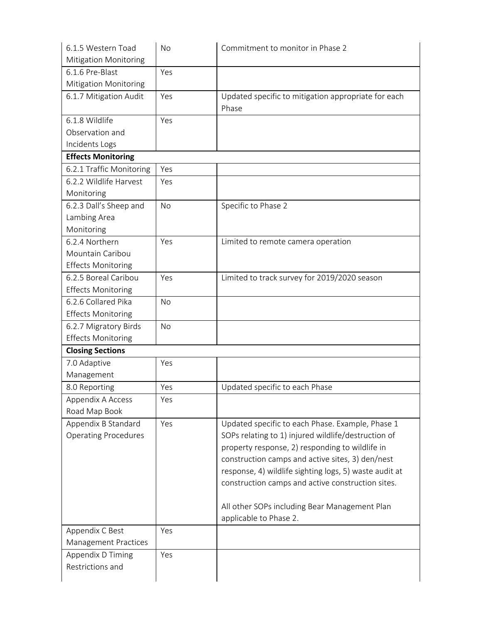| 6.1.5 Western Toad           | No        | Commitment to monitor in Phase 2                       |  |  |
|------------------------------|-----------|--------------------------------------------------------|--|--|
| <b>Mitigation Monitoring</b> |           |                                                        |  |  |
| 6.1.6 Pre-Blast              | Yes       |                                                        |  |  |
| Mitigation Monitoring        |           |                                                        |  |  |
| 6.1.7 Mitigation Audit       | Yes       | Updated specific to mitigation appropriate for each    |  |  |
|                              |           | Phase                                                  |  |  |
| 6.1.8 Wildlife               | Yes       |                                                        |  |  |
| Observation and              |           |                                                        |  |  |
| Incidents Logs               |           |                                                        |  |  |
| <b>Effects Monitoring</b>    |           |                                                        |  |  |
| 6.2.1 Traffic Monitoring     | Yes       |                                                        |  |  |
| 6.2.2 Wildlife Harvest       | Yes       |                                                        |  |  |
| Monitoring                   |           |                                                        |  |  |
| 6.2.3 Dall's Sheep and       | No        | Specific to Phase 2                                    |  |  |
| Lambing Area                 |           |                                                        |  |  |
| Monitoring                   |           |                                                        |  |  |
| 6.2.4 Northern               | Yes       | Limited to remote camera operation                     |  |  |
| Mountain Caribou             |           |                                                        |  |  |
| <b>Effects Monitoring</b>    |           |                                                        |  |  |
| 6.2.5 Boreal Caribou         | Yes       | Limited to track survey for 2019/2020 season           |  |  |
| <b>Effects Monitoring</b>    |           |                                                        |  |  |
| 6.2.6 Collared Pika          | <b>No</b> |                                                        |  |  |
| <b>Effects Monitoring</b>    |           |                                                        |  |  |
| 6.2.7 Migratory Birds        | <b>No</b> |                                                        |  |  |
| <b>Effects Monitoring</b>    |           |                                                        |  |  |
| <b>Closing Sections</b>      |           |                                                        |  |  |
| 7.0 Adaptive                 | Yes       |                                                        |  |  |
| Management                   |           |                                                        |  |  |
| 8.0 Reporting                | Yes       | Updated specific to each Phase                         |  |  |
| Appendix A Access            | Yes       |                                                        |  |  |
| Road Map Book                |           |                                                        |  |  |
| Appendix B Standard          | Yes       | Updated specific to each Phase. Example, Phase 1       |  |  |
| <b>Operating Procedures</b>  |           | SOPs relating to 1) injured wildlife/destruction of    |  |  |
|                              |           | property response, 2) responding to wildlife in        |  |  |
|                              |           | construction camps and active sites, 3) den/nest       |  |  |
|                              |           | response, 4) wildlife sighting logs, 5) waste audit at |  |  |
|                              |           | construction camps and active construction sites.      |  |  |
|                              |           |                                                        |  |  |
|                              |           | All other SOPs including Bear Management Plan          |  |  |
|                              |           | applicable to Phase 2.                                 |  |  |
| Appendix C Best              | Yes       |                                                        |  |  |
| Management Practices         |           |                                                        |  |  |
| Appendix D Timing            | Yes       |                                                        |  |  |
| Restrictions and             |           |                                                        |  |  |
|                              |           |                                                        |  |  |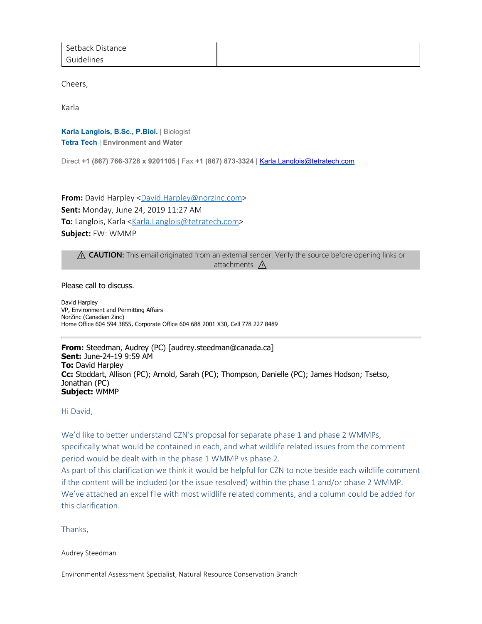Cheers,

Karla

**Karla Langlois, B.Sc., P.Biol.** | Biologist **Tetra Tech** | **Environment and Water**

Direct **+1 (867) 766-3728 x 9201105** | Fax **+1 (867) 873-3324** | [Karla.Langlois@tetratech.com](mailto:Karla.Langlois@tetratech.com)

**From:** David Harpley [<David.Harpley@norzinc.com](mailto:David.Harpley@norzinc.com)> **Sent:** Monday, June 24, 2019 11:27 AM **To:** Langlois, Karla [<Karla.Langlois@tetratech.com](mailto:Karla.Langlois@tetratech.com)> **Subject:** FW: WMMP

⚠ **CAUTION:** This email originated from an external sender. Verify the source before opening links or attachments.  $\Lambda$ 

Please call to discuss.

David Harpley VP, Environment and Permitting Affairs NorZinc (Canadian Zinc) Home Office 604 594 3855, Corporate Office 604 688 2001 X30, Cell 778 227 8489

**From:** Steedman, Audrey (PC) [audrey.steedman@canada.ca] **Sent:** June-24-19 9:59 AM **To:** David Harpley **Cc:** Stoddart, Allison (PC); Arnold, Sarah (PC); Thompson, Danielle (PC); James Hodson; Tsetso, Jonathan (PC) **Subject:** WMMP

Hi David,

We'd like to better understand CZN's proposal for separate phase 1 and phase 2 WMMPs, specifically what would be contained in each, and what wildlife related issues from the comment period would be dealt with in the phase 1 WMMP vs phase 2.

As part of this clarification we think it would be helpful for CZN to note beside each wildlife comment if the content will be included (or the issue resolved) within the phase 1 and/or phase 2 WMMP. We've attached an excel file with most wildlife related comments, and a column could be added for this clarification.

Thanks,

Audrey Steedman

Environmental Assessment Specialist, Natural Resource Conservation Branch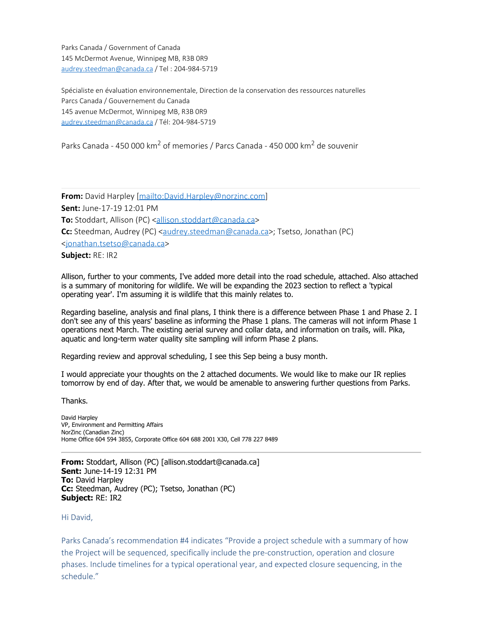Parks Canada / Government of Canada 145 McDermot Avenue, Winnipeg MB, R3B 0R9 [audrey.steedman@canada.ca](mailto:audrey.steedman@canada.ca) / Tel : 204-984-5719

Spécialiste en évaluation environnementale, Direction de la conservation des ressources naturelles Parcs Canada / Gouvernement du Canada 145 avenue McDermot, Winnipeg MB, R3B 0R9 [audrey.steedman@canada.ca](mailto:audrey.steedman@canada.ca) / Tél: 204-984-5719

Parks Canada - 450 000 km<sup>2</sup> of memories / Parcs Canada - 450 000 km<sup>2</sup> de souvenir

**From:** David Harpley [\[mailto:David.Harpley@norzinc.com](mailto:David.Harpley@norzinc.com)] **Sent:** June-17-19 12:01 PM **To:** Stoddart, Allison (PC) <[allison.stoddart@canada.ca](mailto:allison.stoddart@canada.ca)> **Cc:** Steedman, Audrey (PC) [<audrey.steedman@canada.ca](mailto:audrey.steedman@canada.ca)>; Tsetso, Jonathan (PC) [<jonathan.tsetso@canada.ca](mailto:jonathan.tsetso@canada.ca)> **Subject:** RE: IR2

Allison, further to your comments, I've added more detail into the road schedule, attached. Also attached is a summary of monitoring for wildlife. We will be expanding the 2023 section to reflect a 'typical operating year'. I'm assuming it is wildlife that this mainly relates to.

Regarding baseline, analysis and final plans, I think there is a difference between Phase 1 and Phase 2. I don't see any of this years' baseline as informing the Phase 1 plans. The cameras will not inform Phase 1 operations next March. The existing aerial survey and collar data, and information on trails, will. Pika, aquatic and long-term water quality site sampling will inform Phase 2 plans.

Regarding review and approval scheduling, I see this Sep being a busy month.

I would appreciate your thoughts on the 2 attached documents. We would like to make our IR replies tomorrow by end of day. After that, we would be amenable to answering further questions from Parks.

Thanks.

David Harpley VP, Environment and Permitting Affairs NorZinc (Canadian Zinc) Home Office 604 594 3855, Corporate Office 604 688 2001 X30, Cell 778 227 8489

**From:** Stoddart, Allison (PC) [allison.stoddart@canada.ca] **Sent:** June-14-19 12:31 PM **To:** David Harpley **Cc:** Steedman, Audrey (PC); Tsetso, Jonathan (PC) **Subject:** RE: IR2

Hi David,

Parks Canada's recommendation #4 indicates "Provide a project schedule with a summary of how the Project will be sequenced, specifically include the pre-construction, operation and closure phases. Include timelines for a typical operational year, and expected closure sequencing, in the schedule."